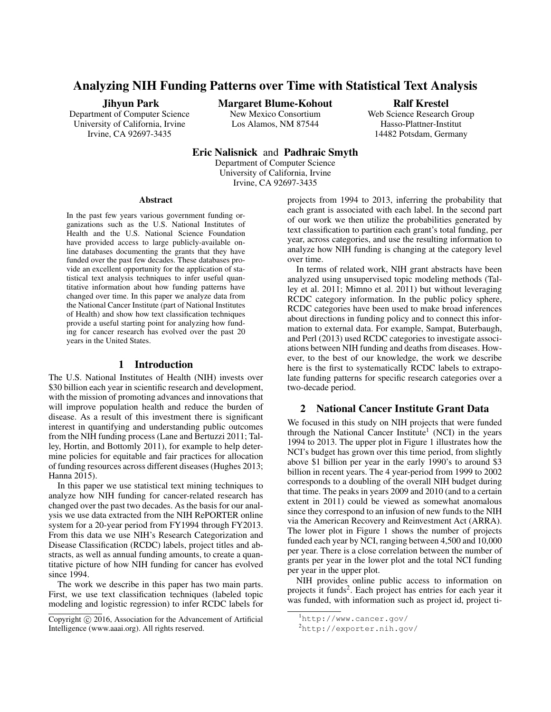# Analyzing NIH Funding Patterns over Time with Statistical Text Analysis

#### Jihyun Park

Department of Computer Science University of California, Irvine Irvine, CA 92697-3435

Margaret Blume-Kohout

New Mexico Consortium Los Alamos, NM 87544

Ralf Krestel

Web Science Research Group Hasso-Plattner-Institut 14482 Potsdam, Germany

# Eric Nalisnick and Padhraic Smyth

Department of Computer Science University of California, Irvine Irvine, CA 92697-3435

#### Abstract

In the past few years various government funding organizations such as the U.S. National Institutes of Health and the U.S. National Science Foundation have provided access to large publicly-available online databases documenting the grants that they have funded over the past few decades. These databases provide an excellent opportunity for the application of statistical text analysis techniques to infer useful quantitative information about how funding patterns have changed over time. In this paper we analyze data from the National Cancer Institute (part of National Institutes of Health) and show how text classification techniques provide a useful starting point for analyzing how funding for cancer research has evolved over the past 20 years in the United States.

#### 1 Introduction

The U.S. National Institutes of Health (NIH) invests over \$30 billion each year in scientific research and development, with the mission of promoting advances and innovations that will improve population health and reduce the burden of disease. As a result of this investment there is significant interest in quantifying and understanding public outcomes from the NIH funding process (Lane and Bertuzzi 2011; Talley, Hortin, and Bottomly 2011), for example to help determine policies for equitable and fair practices for allocation of funding resources across different diseases (Hughes 2013; Hanna 2015).

In this paper we use statistical text mining techniques to analyze how NIH funding for cancer-related research has changed over the past two decades. As the basis for our analysis we use data extracted from the NIH RePORTER online system for a 20-year period from FY1994 through FY2013. From this data we use NIH's Research Categorization and Disease Classification (RCDC) labels, project titles and abstracts, as well as annual funding amounts, to create a quantitative picture of how NIH funding for cancer has evolved since 1994.

The work we describe in this paper has two main parts. First, we use text classification techniques (labeled topic modeling and logistic regression) to infer RCDC labels for

projects from 1994 to 2013, inferring the probability that each grant is associated with each label. In the second part of our work we then utilize the probabilities generated by text classification to partition each grant's total funding, per year, across categories, and use the resulting information to analyze how NIH funding is changing at the category level over time.

In terms of related work, NIH grant abstracts have been analyzed using unsupervised topic modeling methods (Talley et al. 2011; Mimno et al. 2011) but without leveraging RCDC category information. In the public policy sphere, RCDC categories have been used to make broad inferences about directions in funding policy and to connect this information to external data. For example, Sampat, Buterbaugh, and Perl (2013) used RCDC categories to investigate associations between NIH funding and deaths from diseases. However, to the best of our knowledge, the work we describe here is the first to systematically RCDC labels to extrapolate funding patterns for specific research categories over a two-decade period.

## 2 National Cancer Institute Grant Data

We focused in this study on NIH projects that were funded through the National Cancer Institute<sup>1</sup> (NCI) in the years 1994 to 2013. The upper plot in Figure 1 illustrates how the NCI's budget has grown over this time period, from slightly above \$1 billion per year in the early 1990's to around \$3 billion in recent years. The 4 year-period from 1999 to 2002 corresponds to a doubling of the overall NIH budget during that time. The peaks in years 2009 and 2010 (and to a certain extent in 2011) could be viewed as somewhat anomalous since they correspond to an infusion of new funds to the NIH via the American Recovery and Reinvestment Act (ARRA). The lower plot in Figure 1 shows the number of projects funded each year by NCI, ranging between 4,500 and 10,000 per year. There is a close correlation between the number of grants per year in the lower plot and the total NCI funding per year in the upper plot.

NIH provides online public access to information on projects it funds<sup>2</sup>. Each project has entries for each year it was funded, with information such as project id, project ti-

Copyright (c) 2016, Association for the Advancement of Artificial Intelligence (www.aaai.org). All rights reserved.

<sup>1</sup>http://www.cancer.gov/

<sup>2</sup>http://exporter.nih.gov/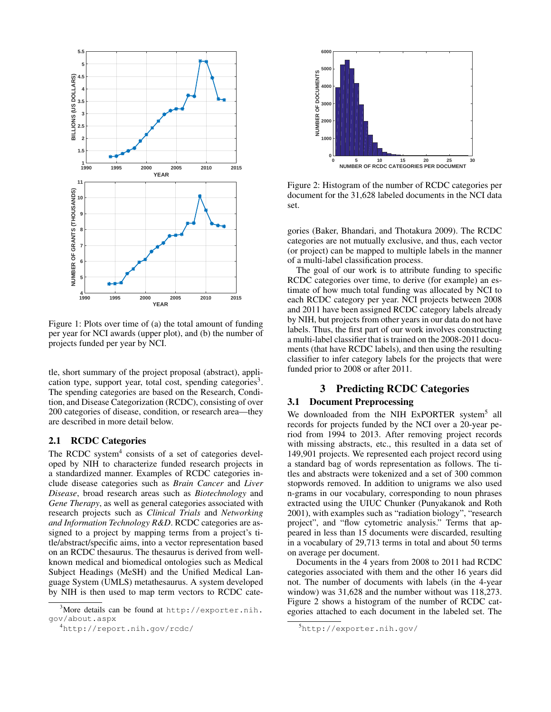

Figure 1: Plots over time of (a) the total amount of funding per year for NCI awards (upper plot), and (b) the number of projects funded per year by NCI.

tle, short summary of the project proposal (abstract), application type, support year, total cost, spending categories<sup>3</sup>. The spending categories are based on the Research, Condition, and Disease Categorization (RCDC), consisting of over 200 categories of disease, condition, or research area—they are described in more detail below.

#### 2.1 RCDC Categories

The RCDC system $4$  consists of a set of categories developed by NIH to characterize funded research projects in a standardized manner. Examples of RCDC categories include disease categories such as *Brain Cancer* and *Liver Disease*, broad research areas such as *Biotechnology* and *Gene Therapy*, as well as general categories associated with research projects such as *Clinical Trials* and *Networking and Information Technology R&D*. RCDC categories are assigned to a project by mapping terms from a project's title/abstract/specific aims, into a vector representation based on an RCDC thesaurus. The thesaurus is derived from wellknown medical and biomedical ontologies such as Medical Subject Headings (MeSH) and the Unified Medical Language System (UMLS) metathesaurus. A system developed by NIH is then used to map term vectors to RCDC cate-



Figure 2: Histogram of the number of RCDC categories per document for the 31,628 labeled documents in the NCI data set.

gories (Baker, Bhandari, and Thotakura 2009). The RCDC categories are not mutually exclusive, and thus, each vector (or project) can be mapped to multiple labels in the manner of a multi-label classification process.

The goal of our work is to attribute funding to specific RCDC categories over time, to derive (for example) an estimate of how much total funding was allocated by NCI to each RCDC category per year. NCI projects between 2008 and 2011 have been assigned RCDC category labels already by NIH, but projects from other years in our data do not have labels. Thus, the first part of our work involves constructing a multi-label classifier that is trained on the 2008-2011 documents (that have RCDC labels), and then using the resulting classifier to infer category labels for the projects that were funded prior to 2008 or after 2011.

## 3 Predicting RCDC Categories

### 3.1 Document Preprocessing

We downloaded from the NIH ExPORTER system<sup>5</sup> all records for projects funded by the NCI over a 20-year period from 1994 to 2013. After removing project records with missing abstracts, etc., this resulted in a data set of 149,901 projects. We represented each project record using a standard bag of words representation as follows. The titles and abstracts were tokenized and a set of 300 common stopwords removed. In addition to unigrams we also used n-grams in our vocabulary, corresponding to noun phrases extracted using the UIUC Chunker (Punyakanok and Roth 2001), with examples such as "radiation biology", "research project", and "flow cytometric analysis." Terms that appeared in less than 15 documents were discarded, resulting in a vocabulary of 29,713 terms in total and about 50 terms on average per document.

Documents in the 4 years from 2008 to 2011 had RCDC categories associated with them and the other 16 years did not. The number of documents with labels (in the 4-year window) was 31,628 and the number without was 118,273. Figure 2 shows a histogram of the number of RCDC categories attached to each document in the labeled set. The

<sup>3</sup>More details can be found at http://exporter.nih. gov/about.aspx

<sup>4</sup>http://report.nih.gov/rcdc/

<sup>5</sup>http://exporter.nih.gov/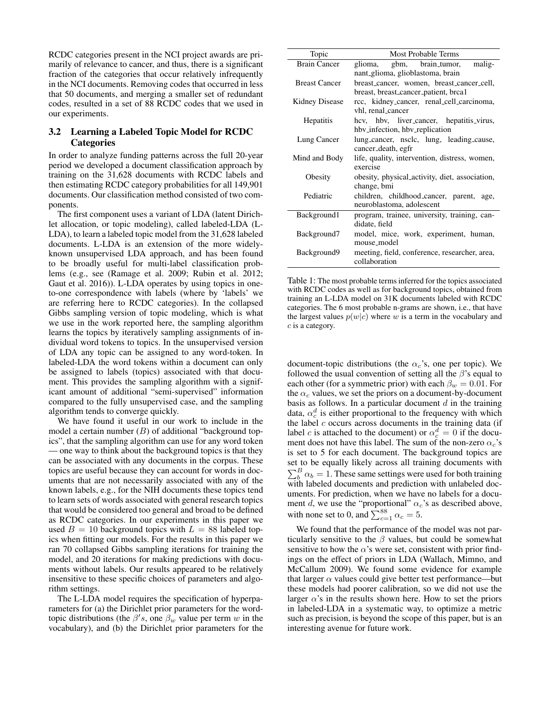RCDC categories present in the NCI project awards are primarily of relevance to cancer, and thus, there is a significant fraction of the categories that occur relatively infrequently in the NCI documents. Removing codes that occurred in less that 50 documents, and merging a smaller set of redundant codes, resulted in a set of 88 RCDC codes that we used in our experiments.

## 3.2 Learning a Labeled Topic Model for RCDC **Categories**

In order to analyze funding patterns across the full 20-year period we developed a document classification approach by training on the 31,628 documents with RCDC labels and then estimating RCDC category probabilities for all 149,901 documents. Our classification method consisted of two components.

The first component uses a variant of LDA (latent Dirichlet allocation, or topic modeling), called labeled-LDA (L-LDA), to learn a labeled topic model from the 31,628 labeled documents. L-LDA is an extension of the more widelyknown unsupervised LDA approach, and has been found to be broadly useful for multi-label classification problems (e.g., see (Ramage et al. 2009; Rubin et al. 2012; Gaut et al. 2016)). L-LDA operates by using topics in oneto-one correspondence with labels (where by 'labels' we are referring here to RCDC categories). In the collapsed Gibbs sampling version of topic modeling, which is what we use in the work reported here, the sampling algorithm learns the topics by iteratively sampling assignments of individual word tokens to topics. In the unsupervised version of LDA any topic can be assigned to any word-token. In labeled-LDA the word tokens within a document can only be assigned to labels (topics) associated with that document. This provides the sampling algorithm with a significant amount of additional "semi-supervised" information compared to the fully unsupervised case, and the sampling algorithm tends to converge quickly.

We have found it useful in our work to include in the model a certain number  $(B)$  of additional "background topics", that the sampling algorithm can use for any word token — one way to think about the background topics is that they can be associated with any documents in the corpus. These topics are useful because they can account for words in documents that are not necessarily associated with any of the known labels, e.g., for the NIH documents these topics tend to learn sets of words associated with general research topics that would be considered too general and broad to be defined as RCDC categories. In our experiments in this paper we used  $B = 10$  background topics with  $L = 88$  labeled topics when fitting our models. For the results in this paper we ran 70 collapsed Gibbs sampling iterations for training the model, and 20 iterations for making predictions with documents without labels. Our results appeared to be relatively insensitive to these specific choices of parameters and algorithm settings.

The L-LDA model requires the specification of hyperparameters for (a) the Dirichlet prior parameters for the wordtopic distributions (the  $\beta' s$ , one  $\beta_w$  value per term w in the vocabulary), and (b) the Dirichlet prior parameters for the

| Topic                | Most Probable Terms                                                               |
|----------------------|-----------------------------------------------------------------------------------|
| <b>Brain Cancer</b>  | glioma, gbm, brain_tumor, malig-<br>nant_glioma, glioblastoma, brain              |
| <b>Breast Cancer</b> | breast_cancer, women, breast_cancer_cell,<br>breast, breast_cancer_patient, brca1 |
| Kidney Disease       | rcc, kidney_cancer, renal_cell_carcinoma,<br>vhl, renal_cancer                    |
| <b>Hepatitis</b>     | hev, hbv, liver_cancer, hepatitis_virus,<br>hby infection, hby replication        |
| Lung Cancer          | lung_cancer, nsclc, lung, leading_cause,<br>cancer_death, egfr                    |
| Mind and Body        | life, quality, intervention, distress, women,<br>exercise                         |
| Obesity              | obesity, physical_activity, diet, association,<br>change, bmi                     |
| Pediatric            | children, childhood_cancer, parent, age,<br>neuroblastoma, adolescent             |
| Background1          | program, trainee, university, training, can-<br>didate, field                     |
| Background7          | model, mice, work, experiment, human,<br>mouse_model                              |
| Background9          | meeting, field, conference, researcher, area,<br>collaboration                    |

Table 1: The most probable terms inferred for the topics associated with RCDC codes as well as for background topics, obtained from training an L-LDA model on 31K documents labeled with RCDC categories. The 6 most probable n-grams are shown, i.e., that have the largest values  $p(w|c)$  where w is a term in the vocabulary and c is a category.

document-topic distributions (the  $\alpha_c$ 's, one per topic). We followed the usual convention of setting all the  $\beta$ 's equal to each other (for a symmetric prior) with each  $\beta_w = 0.01$ . For the  $\alpha_c$  values, we set the priors on a document-by-document basis as follows. In a particular document  $d$  in the training data,  $\alpha_c^d$  is either proportional to the frequency with which the label  $c$  occurs across documents in the training data (if label *c* is attached to the document) or  $\alpha_c^d = 0$  if the document does not have this label. The sum of the non-zero  $\alpha_c$ 's is set to 5 for each document. The background topics are set to be equally likely across all training documents with  $\sum_{b}^{B} \alpha_b = 1$ . These same settings were used for both training with labeled documents and prediction with unlabeled documents. For prediction, when we have no labels for a document d, we use the "proportional"  $\alpha_c$ 's as described above, with none set to 0, and  $\sum_{c=1}^{88} \alpha_c = 5$ .

We found that the performance of the model was not particularly sensitive to the  $\beta$  values, but could be somewhat sensitive to how the  $\alpha$ 's were set, consistent with prior findings on the effect of priors in LDA (Wallach, Mimno, and McCallum 2009). We found some evidence for example that larger  $\alpha$  values could give better test performance—but these models had poorer calibration, so we did not use the larger  $\alpha$ 's in the results shown here. How to set the priors in labeled-LDA in a systematic way, to optimize a metric such as precision, is beyond the scope of this paper, but is an interesting avenue for future work.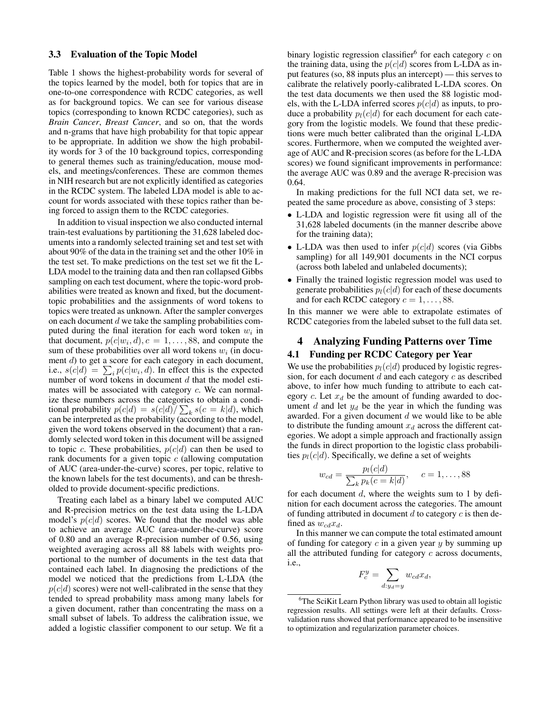#### 3.3 Evaluation of the Topic Model

Table 1 shows the highest-probability words for several of the topics learned by the model, both for topics that are in one-to-one correspondence with RCDC categories, as well as for background topics. We can see for various disease topics (corresponding to known RCDC categories), such as *Brain Cancer*, *Breast Cancer*, and so on, that the words and n-grams that have high probability for that topic appear to be appropriate. In addition we show the high probability words for 3 of the 10 background topics, corresponding to general themes such as training/education, mouse models, and meetings/conferences. These are common themes in NIH research but are not explicitly identified as categories in the RCDC system. The labeled LDA model is able to account for words associated with these topics rather than being forced to assign them to the RCDC categories.

In addition to visual inspection we also conducted internal train-test evaluations by partitioning the 31,628 labeled documents into a randomly selected training set and test set with about 90% of the data in the training set and the other 10% in the test set. To make predictions on the test set we fit the L-LDA model to the training data and then ran collapsed Gibbs sampling on each test document, where the topic-word probabilities were treated as known and fixed, but the documenttopic probabilities and the assignments of word tokens to topics were treated as unknown. After the sampler converges on each document  $d$  we take the sampling probabilities computed during the final iteration for each word token  $w_i$  in that document,  $p(c|w_i, d), c = 1, \ldots, 88$ , and compute the sum of these probabilities over all word tokens  $w_i$  (in document d) to get a score for each category in each document, i.e.,  $s(c|d) = \sum_i p(c|w_i, d)$ . In effect this is the expected number of word tokens in document d that the model estimates will be associated with category c. We can normalize these numbers across the categories to obtain a conditional probability  $p(c|d) = s(c|d)/\sum_k s(c=k|d)$ , which can be interpreted as the probability (according to the model, given the word tokens observed in the document) that a randomly selected word token in this document will be assigned to topic c. These probabilities,  $p(c|d)$  can then be used to rank documents for a given topic  $c$  (allowing computation of AUC (area-under-the-curve) scores, per topic, relative to the known labels for the test documents), and can be thresholded to provide document-specific predictions.

Treating each label as a binary label we computed AUC and R-precision metrics on the test data using the L-LDA model's  $p(c|d)$  scores. We found that the model was able to achieve an average AUC (area-under-the-curve) score of 0.80 and an average R-precision number of 0.56, using weighted averaging across all 88 labels with weights proportional to the number of documents in the test data that contained each label. In diagnosing the predictions of the model we noticed that the predictions from L-LDA (the  $p(c|d)$  scores) were not well-calibrated in the sense that they tended to spread probability mass among many labels for a given document, rather than concentrating the mass on a small subset of labels. To address the calibration issue, we added a logistic classifier component to our setup. We fit a

binary logistic regression classifier<sup>6</sup> for each category  $c$  on the training data, using the  $p(c|d)$  scores from L-LDA as input features (so, 88 inputs plus an intercept) — this serves to calibrate the relatively poorly-calibrated L-LDA scores. On the test data documents we then used the 88 logistic models, with the L-LDA inferred scores  $p(c|d)$  as inputs, to produce a probability  $p_l(c|d)$  for each document for each category from the logistic models. We found that these predictions were much better calibrated than the original L-LDA scores. Furthermore, when we computed the weighted average of AUC and R-precision scores (as before for the L-LDA scores) we found significant improvements in performance: the average AUC was 0.89 and the average R-precision was 0.64.

In making predictions for the full NCI data set, we repeated the same procedure as above, consisting of 3 steps:

- L-LDA and logistic regression were fit using all of the 31,628 labeled documents (in the manner describe above for the training data);
- L-LDA was then used to infer  $p(c|d)$  scores (via Gibbs sampling) for all 149,901 documents in the NCI corpus (across both labeled and unlabeled documents);
- Finally the trained logistic regression model was used to generate probabilities  $p_l(c|d)$  for each of these documents and for each RCDC category  $c = 1, \ldots, 88$ .

In this manner we were able to extrapolate estimates of RCDC categories from the labeled subset to the full data set.

## 4 Analyzing Funding Patterns over Time 4.1 Funding per RCDC Category per Year

We use the probabilities  $p_l(c|d)$  produced by logistic regression, for each document  $d$  and each category  $c$  as described above, to infer how much funding to attribute to each category c. Let  $x_d$  be the amount of funding awarded to document  $d$  and let  $y_d$  be the year in which the funding was awarded. For a given document  $d$  we would like to be able to distribute the funding amount  $x_d$  across the different categories. We adopt a simple approach and fractionally assign the funds in direct proportion to the logistic class probabilities  $p_l(c|d)$ . Specifically, we define a set of weights

$$
w_{cd} = \frac{p_l(c|d)}{\sum_k p_k(c=k|d)}, \quad c = 1, \dots, 88
$$

for each document  $d$ , where the weights sum to 1 by definition for each document across the categories. The amount of funding attributed in document  $d$  to category  $c$  is then defined as  $w_{cd}x_d$ .

In this manner we can compute the total estimated amount of funding for category  $c$  in a given year  $y$  by summing up all the attributed funding for category  $c$  across documents, i.e.,

$$
F_c^y = \sum_{d:y_d=y} w_{cd} x_d,
$$

<sup>&</sup>lt;sup>6</sup>The SciKit Learn Python library was used to obtain all logistic regression results. All settings were left at their defaults. Crossvalidation runs showed that performance appeared to be insensitive to optimization and regularization parameter choices.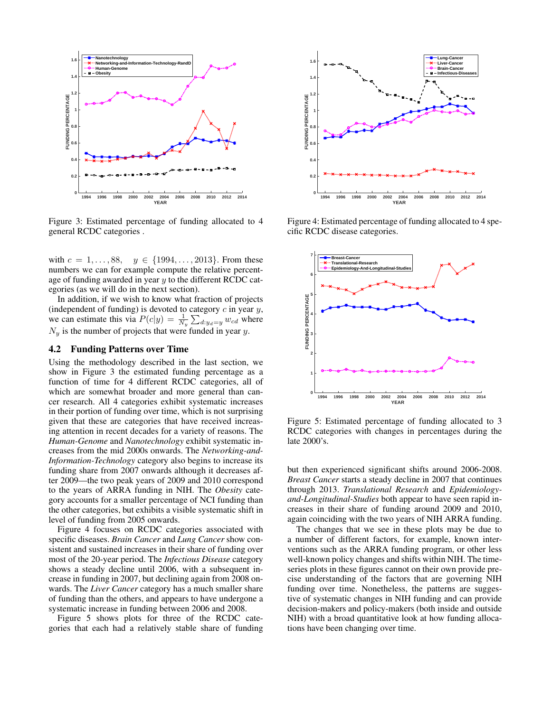

Figure 3: Estimated percentage of funding allocated to 4 general RCDC categories .

with  $c = 1, ..., 88, y \in \{1994, ..., 2013\}$ . From these numbers we can for example compute the relative percentage of funding awarded in year  $y$  to the different RCDC categories (as we will do in the next section).

In addition, if we wish to know what fraction of projects (independent of funding) is devoted to category  $c$  in year  $y$ , we can estimate this via  $P(c|y) = \frac{1}{N_y} \sum_{d:y_d=y} w_{cd}$  where  $N_y$  is the number of projects that were funded in year y.

#### 4.2 Funding Patterns over Time

Using the methodology described in the last section, we show in Figure 3 the estimated funding percentage as a function of time for 4 different RCDC categories, all of which are somewhat broader and more general than cancer research. All 4 categories exhibit systematic increases in their portion of funding over time, which is not surprising given that these are categories that have received increasing attention in recent decades for a variety of reasons. The *Human-Genome* and *Nanotechnology* exhibit systematic increases from the mid 2000s onwards. The *Networking-and-Information-Technology* category also begins to increase its funding share from 2007 onwards although it decreases after 2009—the two peak years of 2009 and 2010 correspond to the years of ARRA funding in NIH. The *Obesity* category accounts for a smaller percentage of NCI funding than the other categories, but exhibits a visible systematic shift in level of funding from 2005 onwards.

Figure 4 focuses on RCDC categories associated with specific diseases. *Brain Cancer* and *Lung Cancer* show consistent and sustained increases in their share of funding over most of the 20-year period. The *Infectious Disease* category shows a steady decline until 2006, with a subsequent increase in funding in 2007, but declining again from 2008 onwards. The *Liver Cancer* category has a much smaller share of funding than the others, and appears to have undergone a systematic increase in funding between 2006 and 2008.

Figure 5 shows plots for three of the RCDC categories that each had a relatively stable share of funding



Figure 4: Estimated percentage of funding allocated to 4 specific RCDC disease categories.



Figure 5: Estimated percentage of funding allocated to 3 RCDC categories with changes in percentages during the late 2000's.

but then experienced significant shifts around 2006-2008. *Breast Cancer* starts a steady decline in 2007 that continues through 2013. *Translational Research* and *Epidemiologyand-Longitudinal-Studies* both appear to have seen rapid increases in their share of funding around 2009 and 2010, again coinciding with the two years of NIH ARRA funding.

The changes that we see in these plots may be due to a number of different factors, for example, known interventions such as the ARRA funding program, or other less well-known policy changes and shifts within NIH. The timeseries plots in these figures cannot on their own provide precise understanding of the factors that are governing NIH funding over time. Nonetheless, the patterns are suggestive of systematic changes in NIH funding and can provide decision-makers and policy-makers (both inside and outside NIH) with a broad quantitative look at how funding allocations have been changing over time.